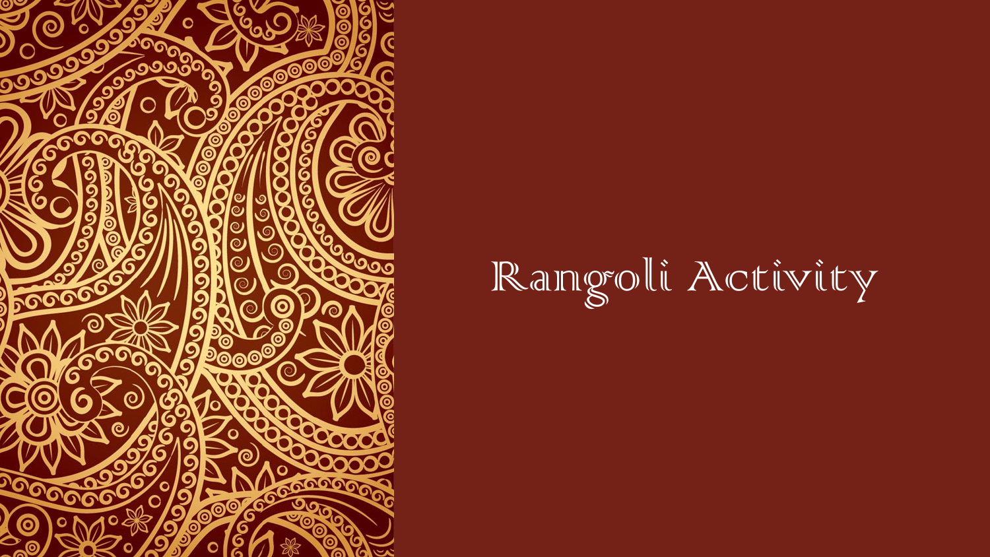

Rangoli Activity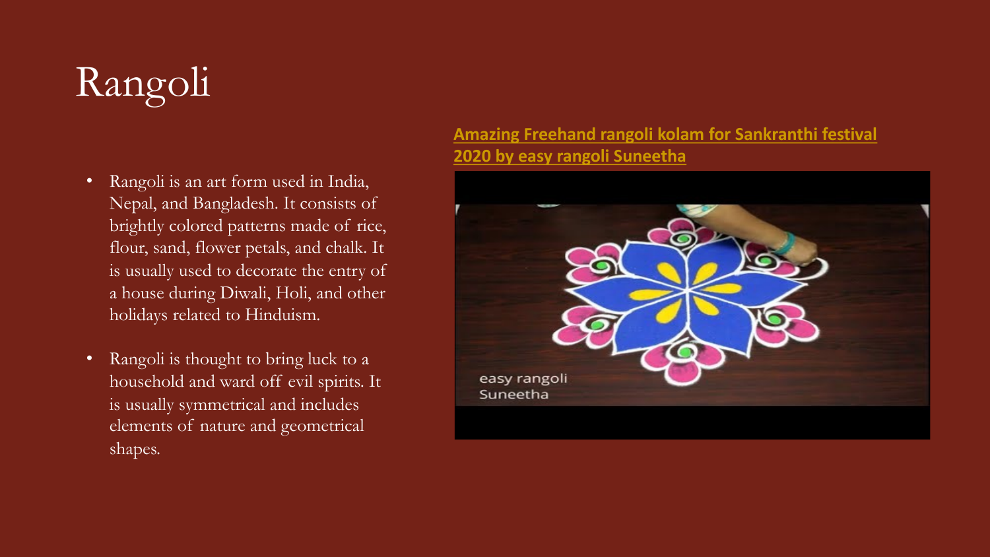## Rangoli

- Rangoli is an art form used in India, Nepal, and Bangladesh. It consists of brightly colored patterns made of rice, flour, sand, flower petals, and chalk. It is usually used to decorate the entry of a house during Diwali, Holi, and other holidays related to Hinduism.
- Rangoli is thought to bring luck to a household and ward off evil spirits. It is usually symmetrical and includes elements of nature and geometrical shapes.

## **[Amazing Freehand rangoli](https://www.youtube.com/watch?v=d1f_DczCCuY) kolam for Sankranthi festival 2020 by easy rangoli Suneetha**

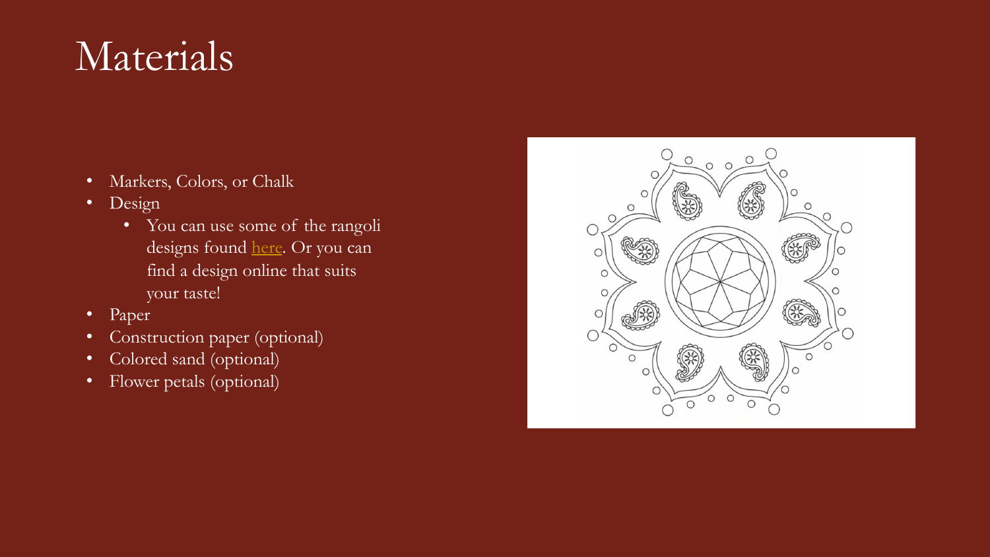## Materials

- Markers, Colors, or Chalk
- Design
	- You can use some of the rangoli designs found [here.](https://www.bestcoloringpagesforkids.com/rangoli-coloring-pages.html) Or you can find a design online that suits your taste!
- Paper
- Construction paper (optional)
- Colored sand (optional)
- Flower petals (optional)